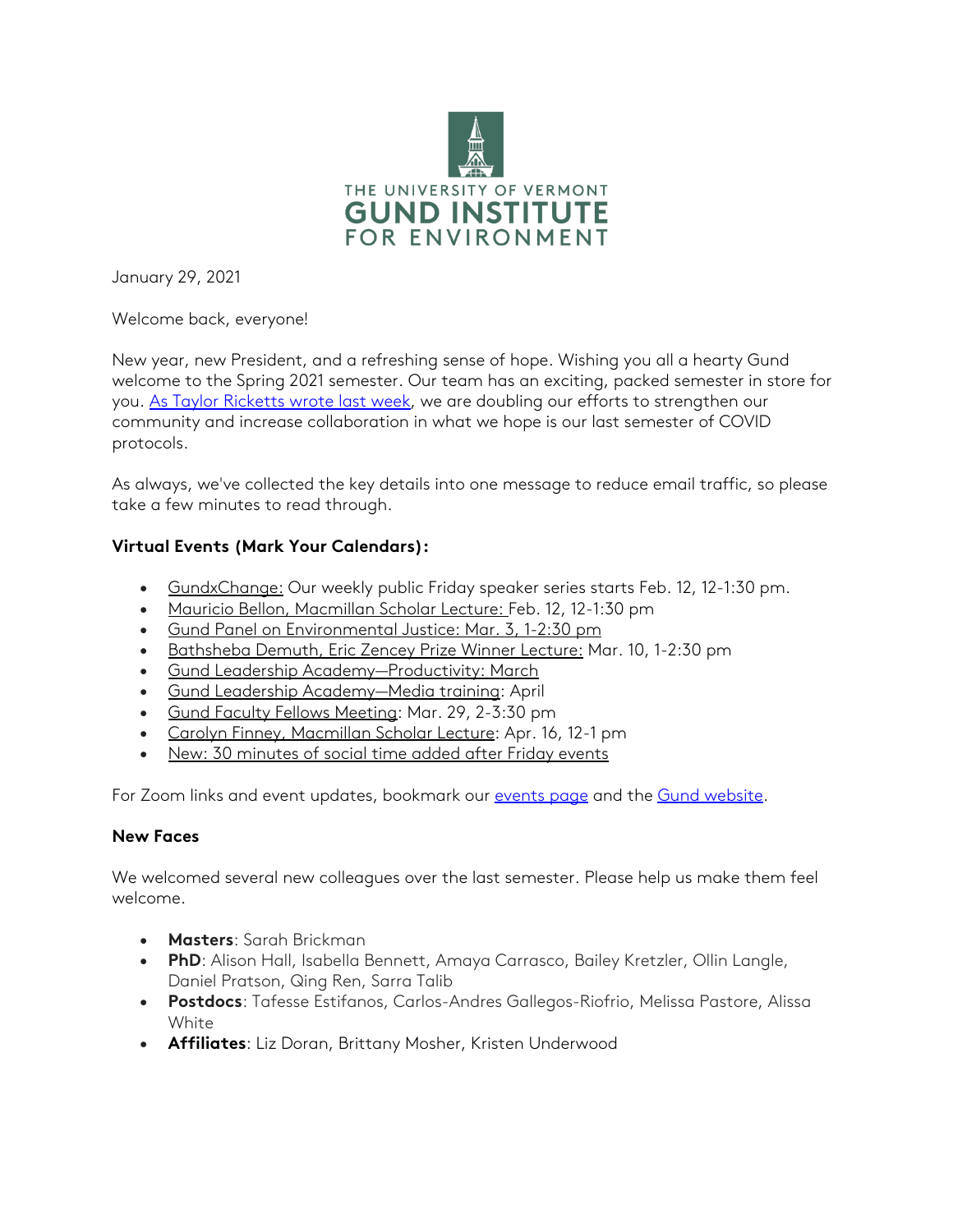

January 29, 2021

Welcome back, everyone!

New year, new President, and a refreshing sense of hope. Wishing you all a hearty Gund welcome to the Spring 2021 semester. Our team has an exciting, packed semester in store for you. [As Taylor Ricketts wrote last week,](https://www.uvm.edu/sites/default/files/Gund-Institute-for-Environment/Gund_2020-2021_Letter.pdf) we are doubling our efforts to strengthen our community and increase collaboration in what we hope is our last semester of COVID protocols.

As always, we've collected the key details into one message to reduce email traffic, so please take a few minutes to read through.

# **Virtual Events (Mark Your Calendars):**

- GundxChange: Our weekly public Friday speaker series starts Feb. 12, 12-1:30 pm.
- Mauricio Bellon, Macmillan Scholar Lecture: Feb. 12, 12-1:30 pm
- Gund Panel on Environmental Justice: Mar. 3, 1-2:30 pm
- Bathsheba Demuth, Eric Zencey Prize Winner Lecture: Mar. 10, 1-2:30 pm
- Gund Leadership Academy—Productivity: March
- Gund Leadership Academy—Media training: April
- Gund Faculty Fellows Meeting: Mar. 29, 2-3:30 pm
- Carolyn Finney, Macmillan Scholar Lecture: Apr. 16, 12-1 pm
- New: 30 minutes of social time added after Friday events

For Zoom links and event updates, bookmark our [events page](https://www.uvm.edu/gund/events-0) and the [Gund website.](https://www.uvm.edu/gund)

### **New Faces**

We welcomed several new colleagues over the last semester. Please help us make them feel welcome.

- **Masters**: Sarah Brickman
- **PhD**: Alison Hall, Isabella Bennett, Amaya Carrasco, Bailey Kretzler, Ollin Langle, Daniel Pratson, Qing Ren, Sarra Talib
- **Postdocs**: Tafesse Estifanos, Carlos-Andres Gallegos-Riofrio, Melissa Pastore, Alissa White
- **Affiliates**: Liz Doran, Brittany Mosher, Kristen Underwood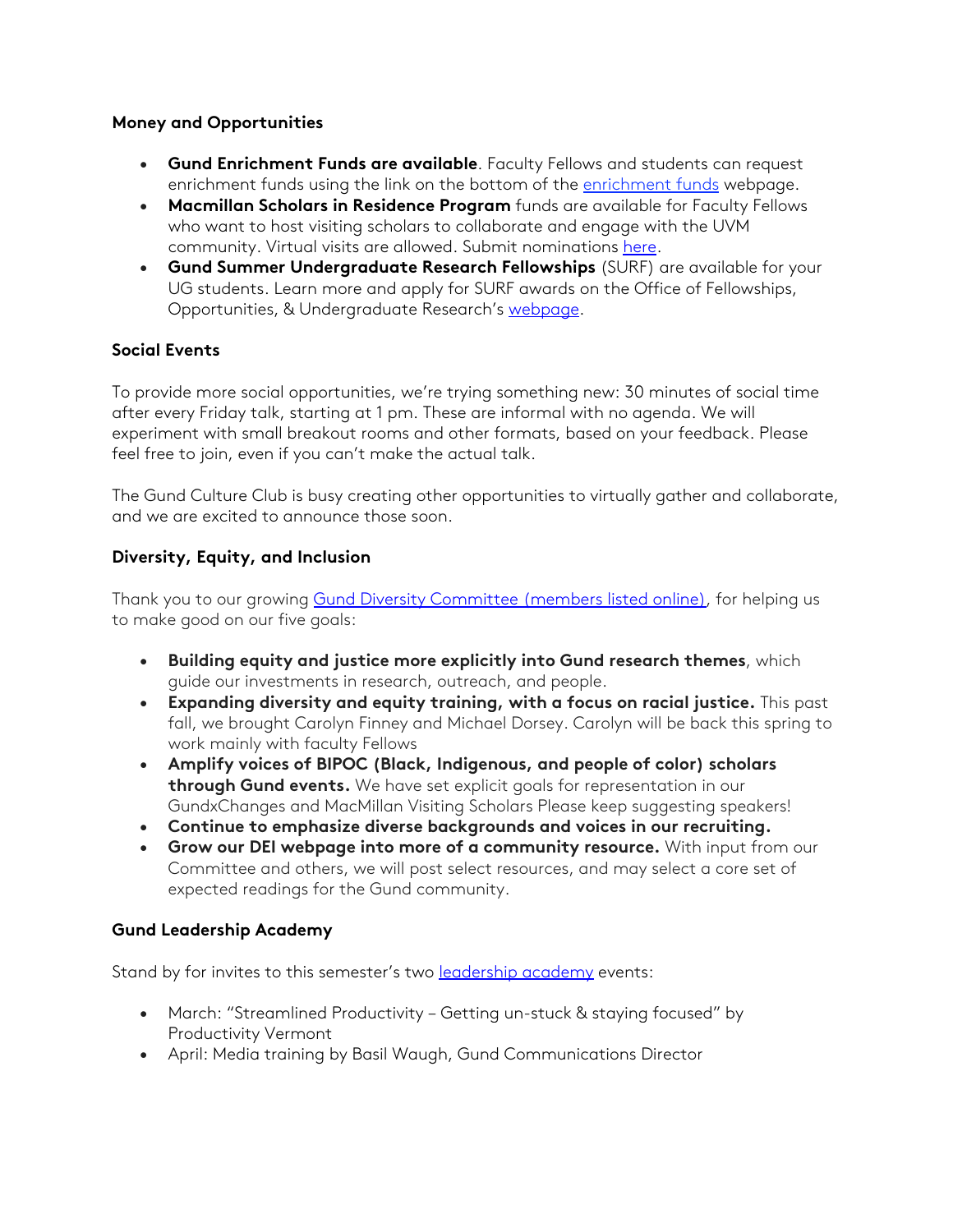## **Money and Opportunities**

- **Gund Enrichment Funds are available**. Faculty Fellows and students can request enrichment funds using the link on the bottom of the [enrichment funds](https://www.uvm.edu/gund/enrichment-funds) webpage.
- **Macmillan Scholars in Residence Program** funds are available for Faculty Fellows who want to host visiting scholars to collaborate and engage with the UVM community. Virtual visits are allowed. Submit nominations [here.](https://uvm.infoready4.com/#competitionDetail/1807748)
- **Gund Summer Undergraduate Research Fellowships** (SURF) are available for your UG students. Learn more and apply for SURF awards on the Office of Fellowships, Opportunities, & Undergraduate Research's [webpage.](https://www.uvm.edu/four/internal-undergraduate-research-funding)

# **Social Events**

To provide more social opportunities, we're trying something new: 30 minutes of social time after every Friday talk, starting at 1 pm. These are informal with no agenda. We will experiment with small breakout rooms and other formats, based on your feedback. Please feel free to join, even if you can't make the actual talk.

The Gund Culture Club is busy creating other opportunities to virtually gather and collaborate, and we are excited to announce those soon.

## **Diversity, Equity, and Inclusion**

Thank you to our growing [Gund Diversity Committee \(members listed online\),](https://www.uvm.edu/gund/diversity-and-inclusion) for helping us to make good on our five goals:

- **Building equity and justice more explicitly into Gund research themes**, which guide our investments in research, outreach, and people.
- **Expanding diversity and equity training, with a focus on racial justice.** This past fall, we brought Carolyn Finney and Michael Dorsey. Carolyn will be back this spring to work mainly with faculty Fellows
- **Amplify voices of BIPOC (Black, Indigenous, and people of color) scholars through Gund events.** We have set explicit goals for representation in our GundxChanges and MacMillan Visiting Scholars Please keep suggesting speakers!
- **Continue to emphasize diverse backgrounds and voices in our recruiting.**
- **Grow our DEI webpage into more of a community resource.** With input from our Committee and others, we will post select resources, and may select a core set of expected readings for the Gund community.

### **Gund Leadership Academy**

Stand by for invites to this semester's two **[leadership academy](https://www.uvm.edu/gund/leadership-academy)** events:

- March: "Streamlined Productivity Getting un-stuck & staying focused" by Productivity Vermont
- April: Media training by Basil Waugh, Gund Communications Director